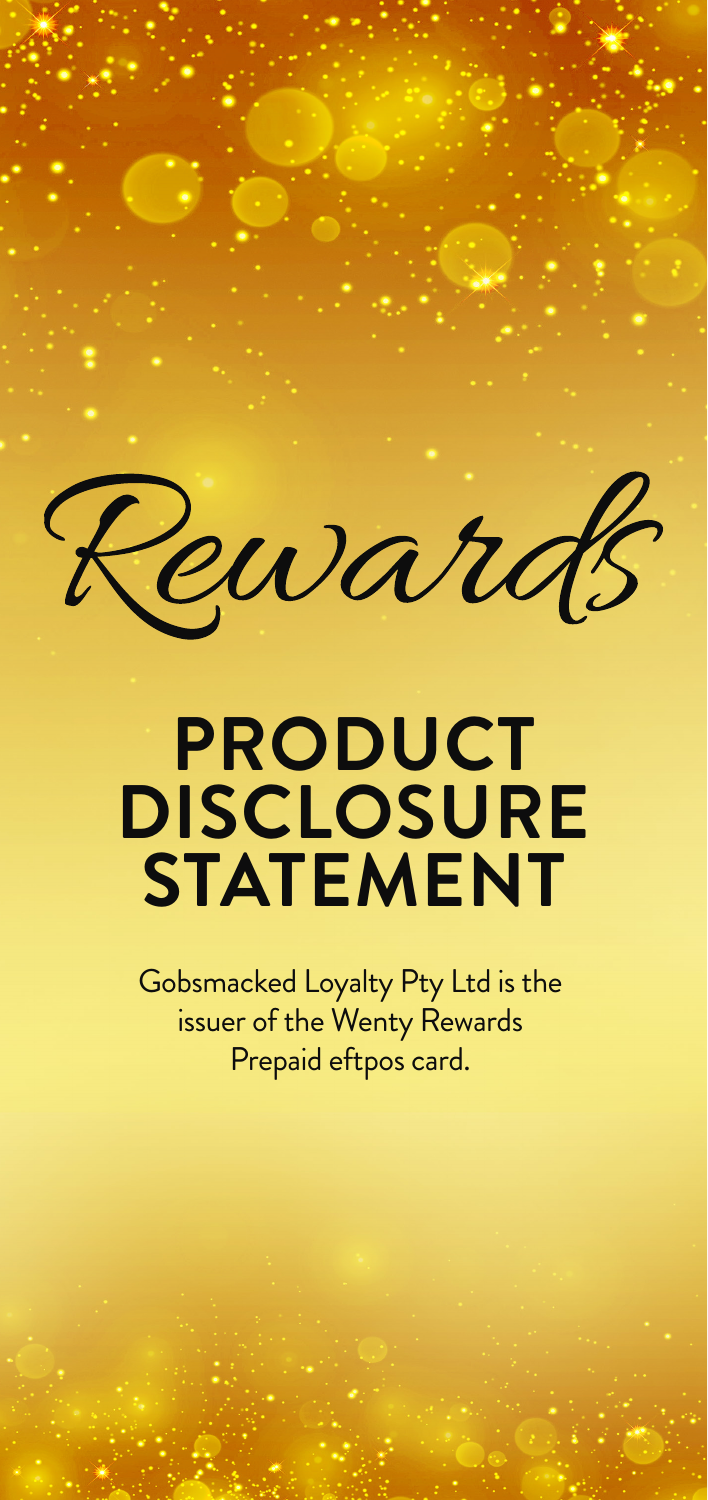Rewards

# **PRODUCT DISCLOSURE STATEMENT**

Gobsmacked Loyalty Pty Ltd is the issuer of the Wenty Rewards Prepaid eftpos card.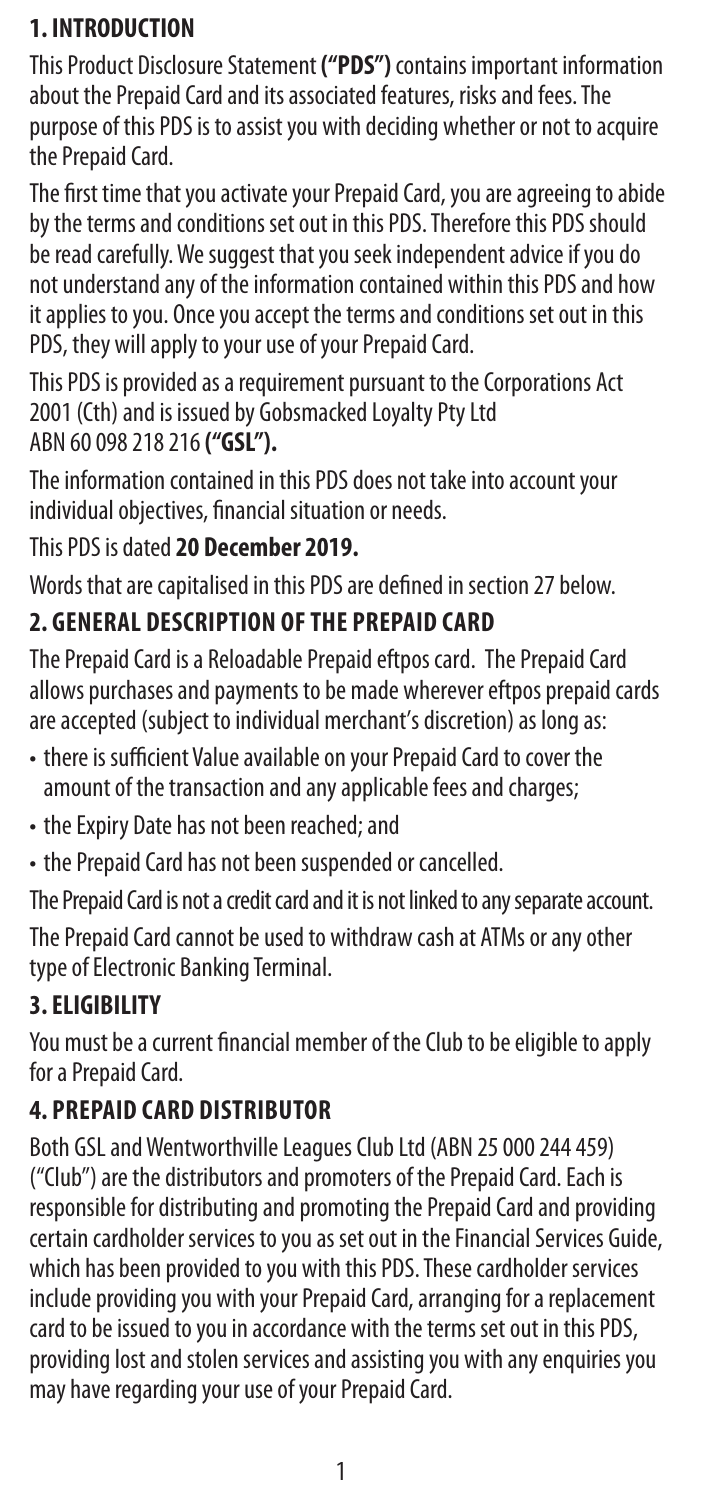## **1. INTRODUCTION**

This Product Disclosure Statement **("PDS")** contains important information about the Prepaid Card and its associated features, risks and fees. The purpose of this PDS is to assist you with deciding whether or not to acquire the Prepaid Card.

The first time that you activate your Prepaid Card, you are agreeing to abide by the terms and conditions set out in this PDS. Therefore this PDS should be read carefully. We suggest that you seek independent advice if you do not understand any of the information contained within this PDS and how it applies to you. Once you accept the terms and conditions set out in this PDS, they will apply to your use of your Prepaid Card.

This PDS is provided as a requirement pursuant to the Corporations Act 2001 (Cth) and is issued by Gobsmacked Loyalty Pty Ltd ABN 60 098 218 216 **("GSL").**

The information contained in this PDS does not take into account your individual objectives, financial situation or needs.

## This PDS is dated **20 December 2019.**

Words that are capitalised in this PDS are defined in section 27 below.

## **2. GENERAL DESCRIPTION OF THE PREPAID CARD**

The Prepaid Card is a Reloadable Prepaid eftpos card. The Prepaid Card allows purchases and payments to be made wherever eftpos prepaid cards are accepted (subject to individual merchant's discretion) as long as:

- there is sufficient Value available on your Prepaid Card to cover the amount of the transaction and any applicable fees and charges;
- the Expiry Date has not been reached; and
- the Prepaid Card has not been suspended or cancelled.

The Prepaid Card is not a credit card and it is not linked to any separate account.

The Prepaid Card cannot be used to withdraw cash at ATMs or any other type of Electronic Banking Terminal.

## **3. ELIGIBILITY**

You must be a current financial member of the Club to be eligible to apply for a Prepaid Card.

## **4. PREPAID CARD DISTRIBUTOR**

Both GSL and Wentworthville Leagues Club Ltd (ABN 25 000 244 459) ("Club") are the distributors and promoters of the Prepaid Card. Each is responsible for distributing and promoting the Prepaid Card and providing certain cardholder services to you as set out in the Financial Services Guide, which has been provided to you with this PDS. These cardholder services include providing you with your Prepaid Card, arranging for a replacement card to be issued to you in accordance with the terms set out in this PDS, providing lost and stolen services and assisting you with any enquiries you may have regarding your use of your Prepaid Card.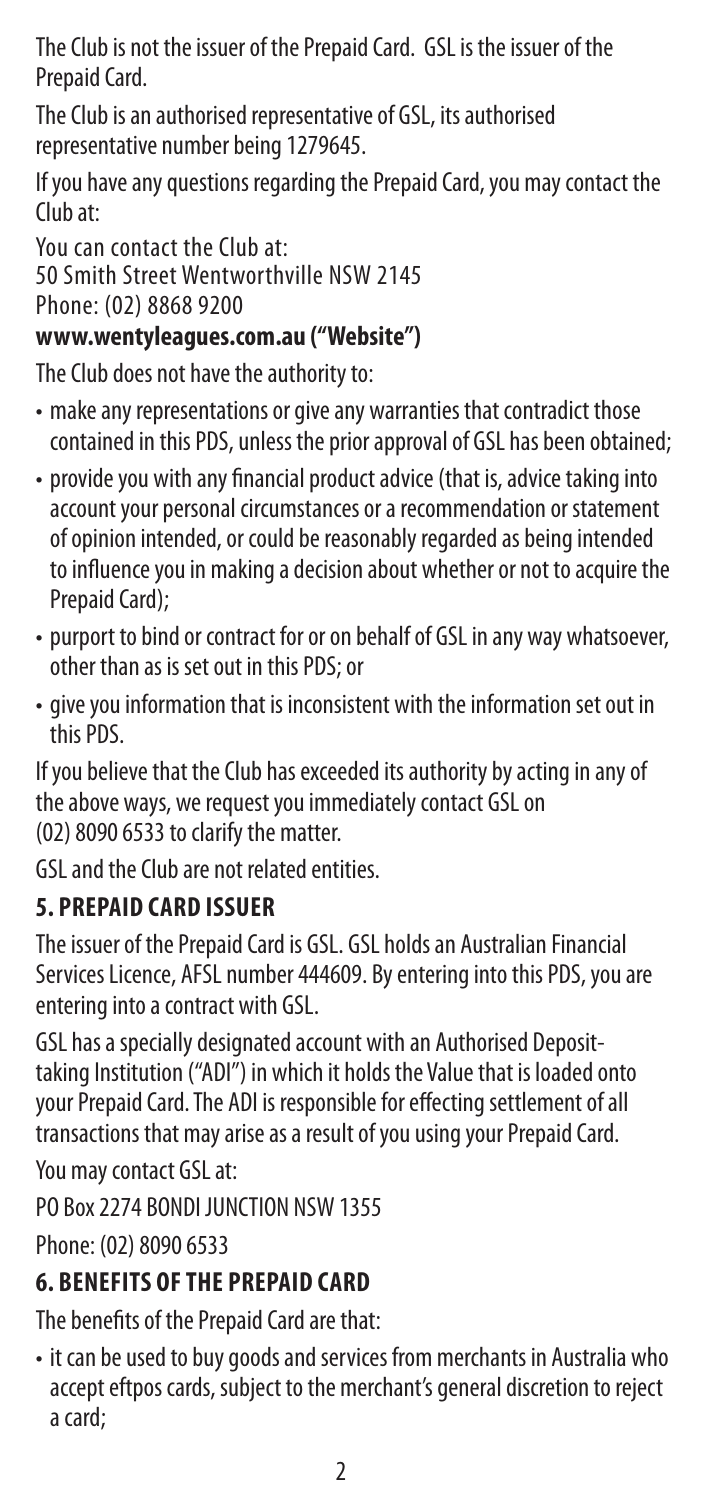The Club is not the issuer of the Prepaid Card. GSL is the issuer of the Prepaid Card.

The Club is an authorised representative of GSL, its authorised representative number being 1279645.

If you have any questions regarding the Prepaid Card, you may contact the Club at:

You can contact the Club at: 50 Smith Street Wentworthville NSW 2145 Phone: (02) 8868 9200

## **www.wentyleagues.com.au ("Website")**

The Club does not have the authority to:

- make any representations or give any warranties that contradict those contained in this PDS, unless the prior approval of GSL has been obtained;
- provide you with any financial product advice (that is, advice taking into account your personal circumstances or a recommendation or statement of opinion intended, or could be reasonably regarded as being intended to influence you in making a decision about whether or not to acquire the Prepaid Card);
- purport to bind or contract for or on behalf of GSL in any way whatsoever, other than as is set out in this PDS; or
- give you information that is inconsistent with the information set out in this PDS.

If you believe that the Club has exceeded its authority by acting in any of the above ways, we request you immediately contact GSL on (02) 8090 6533 to clarify the matter.

GSL and the Club are not related entities.

## **5. PREPAID CARD ISSUER**

The issuer of the Prepaid Card is GSL. GSL holds an Australian Financial Services Licence, AFSL number 444609. By entering into this PDS, you are entering into a contract with GSL.

GSL has a specially designated account with an Authorised Deposittaking Institution ("ADI") in which it holds the Value that is loaded onto your Prepaid Card. The ADI is responsible for effecting settlement of all transactions that may arise as a result of you using your Prepaid Card.

You may contact GSL at:

PO Box 2274 BONDI JUNCTION NSW 1355

Phone: (02) 8090 6533

## **6. BENEFITS OF THE PREPAID CARD**

The benefits of the Prepaid Card are that:

• it can be used to buy goods and services from merchants in Australia who accept eftpos cards, subject to the merchant's general discretion to reject a card;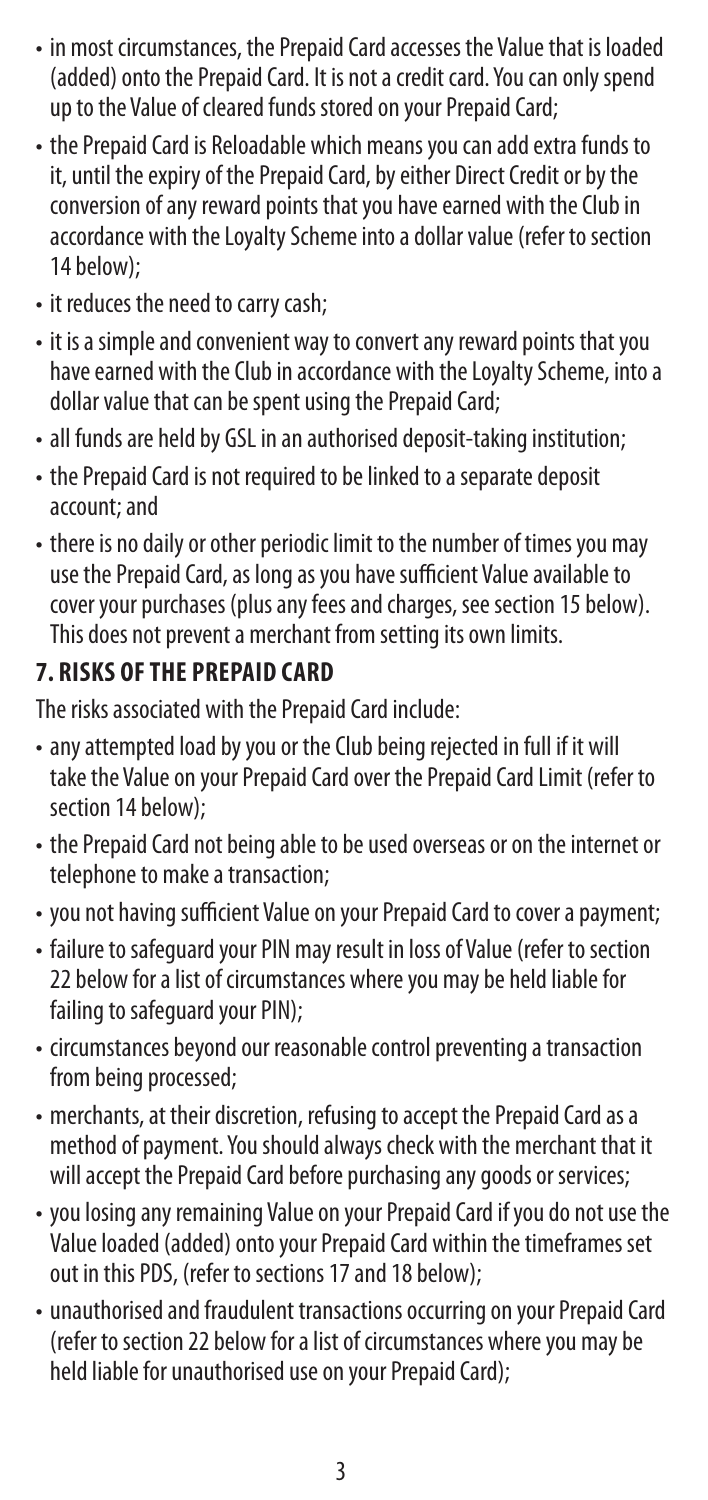- in most circumstances, the Prepaid Card accesses the Value that is loaded (added) onto the Prepaid Card. It is not a credit card. You can only spend up to the Value of cleared funds stored on your Prepaid Card;
- the Prepaid Card is Reloadable which means you can add extra funds to it, until the expiry of the Prepaid Card, by either Direct Credit or by the conversion of any reward points that you have earned with the Club in accordance with the Loyalty Scheme into a dollar value (refer to section 14 below);
- it reduces the need to carry cash;
- it is a simple and convenient way to convert any reward points that you have earned with the Club in accordance with the Loyalty Scheme, into a dollar value that can be spent using the Prepaid Card;
- all funds are held by GSL in an authorised deposit-taking institution;
- the Prepaid Card is not required to be linked to a separate deposit account; and
- there is no daily or other periodic limit to the number of times you may use the Prepaid Card, as long as you have sufficient Value available to cover your purchases (plus any fees and charges, see section 15 below). This does not prevent a merchant from setting its own limits.

## **7. RISKS OF THE PREPAID CARD**

The risks associated with the Prepaid Card include:

- any attempted load by you or the Club being rejected in full if it will take the Value on your Prepaid Card over the Prepaid Card Limit (refer to section 14 below);
- the Prepaid Card not being able to be used overseas or on the internet or telephone to make a transaction;
- you not having sufficient Value on your Prepaid Card to cover a payment;
- failure to safeguard your PIN may result in loss of Value (refer to section 22 below for a list of circumstances where you may be held liable for failing to safeguard your PIN);
- circumstances beyond our reasonable control preventing a transaction from being processed;
- merchants, at their discretion, refusing to accept the Prepaid Card as a method of payment. You should always check with the merchant that it will accept the Prepaid Card before purchasing any goods or services;
- you losing any remaining Value on your Prepaid Card if you do not use the Value loaded (added) onto your Prepaid Card within the timeframes set out in this PDS, (refer to sections 17 and 18 below);
- unauthorised and fraudulent transactions occurring on your Prepaid Card (refer to section 22 below for a list of circumstances where you may be held liable for unauthorised use on your Prepaid Card);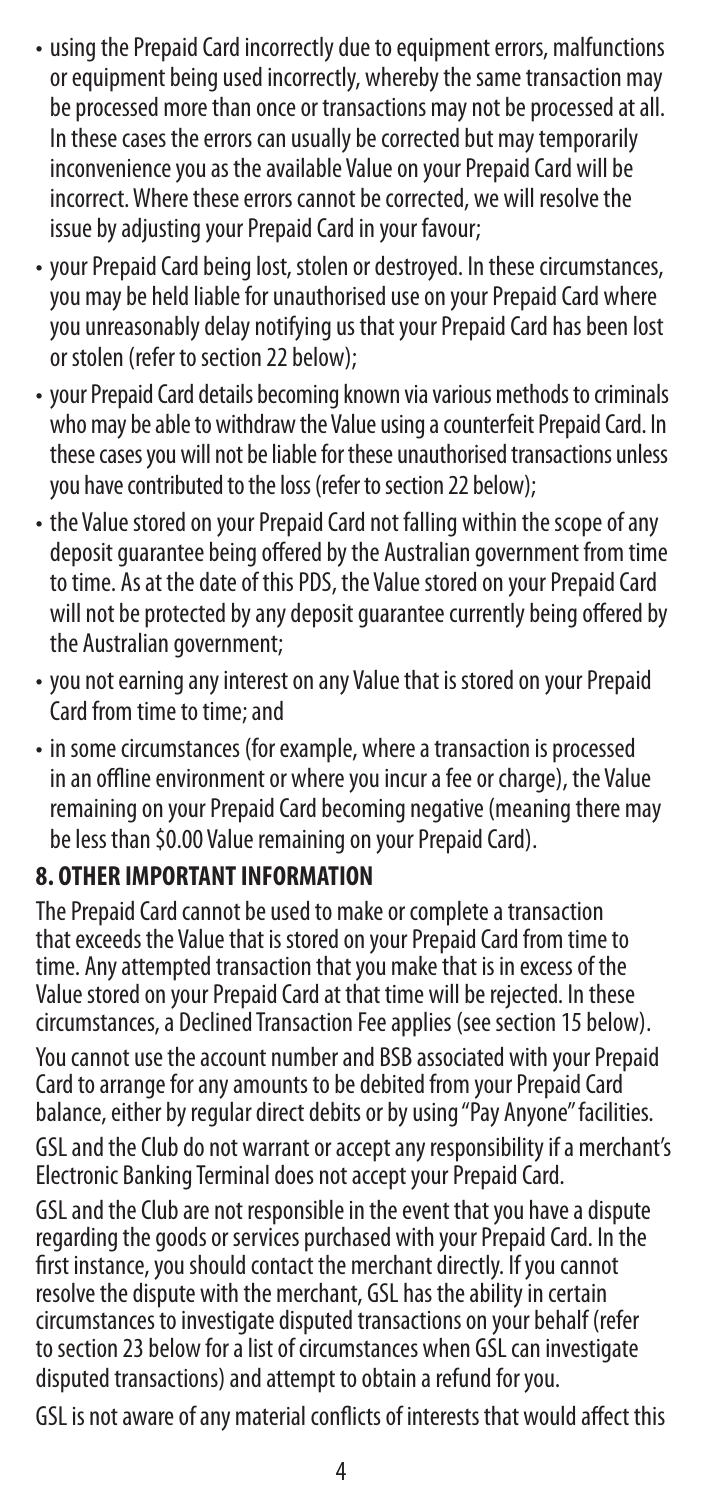- using the Prepaid Card incorrectly due to equipment errors, malfunctions or equipment being used incorrectly, whereby the same transaction may be processed more than once or transactions may not be processed at all. In these cases the errors can usually be corrected but may temporarily inconvenience you as the available Value on your Prepaid Card will be incorrect. Where these errors cannot be corrected, we will resolve the issue by adjusting your Prepaid Card in your favour;
- your Prepaid Card being lost, stolen or destroyed. In these circumstances, you may be held liable for unauthorised use on your Prepaid Card where you unreasonably delay notifying us that your Prepaid Card has been lost or stolen (refer to section 22 below);
- your Prepaid Card details becoming known via various methods to criminals who may be able to withdraw the Value using a counterfeit Prepaid Card. In these cases you will not be liable for these unauthorised transactions unless you have contributed to the loss (refer to section 22 below);
- the Value stored on your Prepaid Card not falling within the scope of any deposit guarantee being offered by the Australian government from time to time. As at the date of this PDS, the Value stored on your Prepaid Card will not be protected by any deposit guarantee currently being offered by the Australian government;
- you not earning any interest on any Value that is stored on your Prepaid Card from time to time; and
- in some circumstances (for example, where a transaction is processed in an offline environment or where you incur a fee or charge), the Value remaining on your Prepaid Card becoming negative (meaning there may be less than \$0.00 Value remaining on your Prepaid Card).

## **8. OTHER IMPORTANT INFORMATION**

The Prepaid Card cannot be used to make or complete a transaction that exceeds the Value that is stored on your Prepaid Card from time to time. Any attempted transaction that you make that is in excess of the Value stored on your Prepaid Card at that time will be rejected. In these circumstances, a Declined Transaction Fee applies (see section 15 below). You cannot use the account number and BSB associated with your Prepaid Card to arrange for any amounts to be debited from your Prepaid Card balance, either by regular direct debits or by using "Pay Anyone" facilities. GSL and the Club do not warrant or accept any responsibility if a merchant's Electronic Banking Terminal does not accept your Prepaid Card.

GSL and the Club are not responsible in the event that you have a dispute regarding the goods or services purchased with your Prepaid Card. In the first instance, you should contact the merchant directly. If you cannot resolve the dispute with the merchant, GSL has the ability in certain circumstances to investigate disputed transactions on your behalf (refer to section 23 below for a list of circumstances when GSL can investigate disputed transactions) and attempt to obtain a refund for you.

GSL is not aware of any material conflicts of interests that would affect this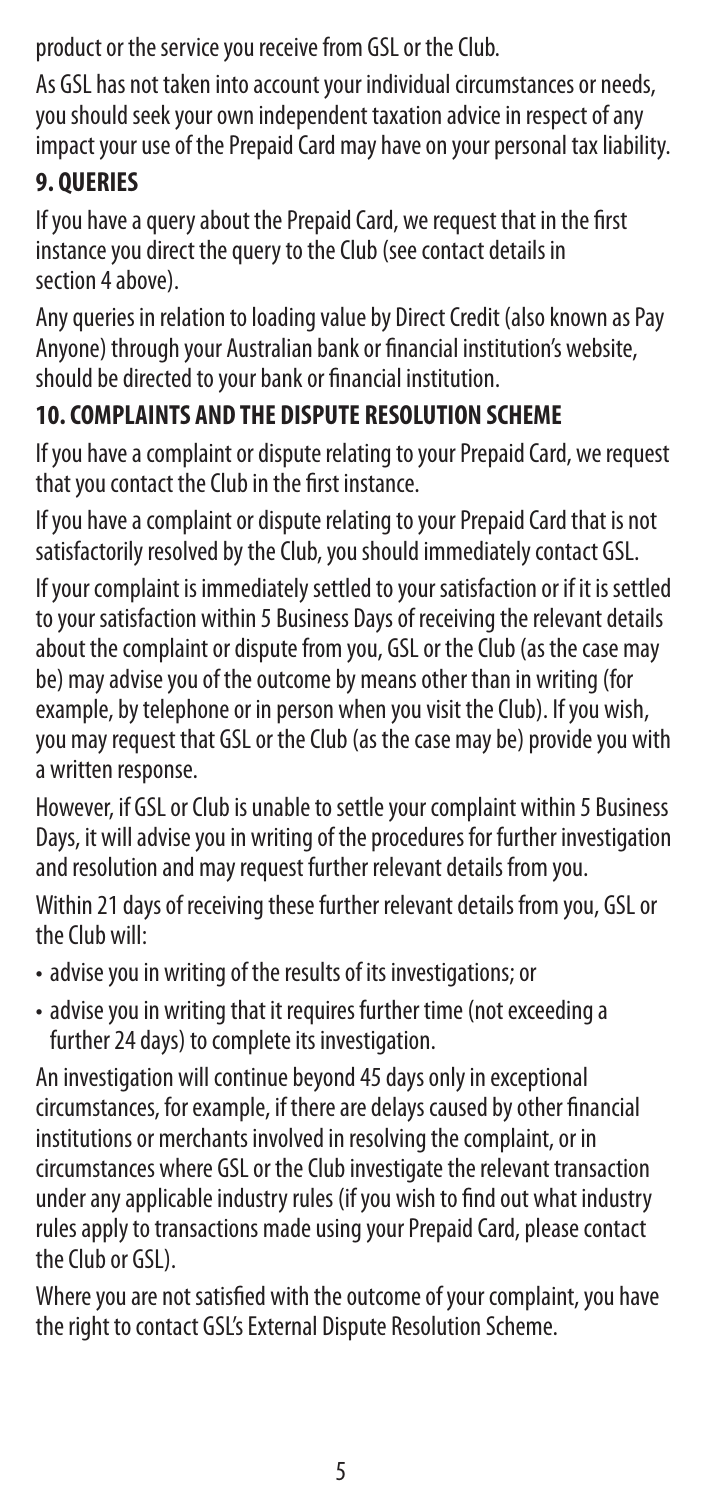product or the service you receive from GSL or the Club.

As GSL has not taken into account your individual circumstances or needs, you should seek your own independent taxation advice in respect of any impact your use of the Prepaid Card may have on your personal tax liability.

## **9. QUERIES**

If you have a query about the Prepaid Card, we request that in the first instance you direct the query to the Club (see contact details in section 4 above).

Any queries in relation to loading value by Direct Credit (also known as Pay Anyone) through your Australian bank or financial institution's website, should be directed to your bank or financial institution.

## **10. COMPLAINTS AND THE DISPUTE RESOLUTION SCHEME**

If you have a complaint or dispute relating to your Prepaid Card, we request that you contact the Club in the first instance.

If you have a complaint or dispute relating to your Prepaid Card that is not satisfactorily resolved by the Club, you should immediately contact GSL.

If your complaint is immediately settled to your satisfaction or if it is settled to your satisfaction within 5 Business Days of receiving the relevant details about the complaint or dispute from you, GSL or the Club (as the case may be) may advise you of the outcome by means other than in writing (for example, by telephone or in person when you visit the Club). If you wish, you may request that GSL or the Club (as the case may be) provide you with a written response.

However, if GSL or Club is unable to settle your complaint within 5 Business Days, it will advise you in writing of the procedures for further investigation and resolution and may request further relevant details from you.

Within 21 days of receiving these further relevant details from you, GSL or the Club will:

- advise you in writing of the results of its investigations; or
- advise you in writing that it requires further time (not exceeding a further 24 days) to complete its investigation.

An investigation will continue beyond 45 days only in exceptional circumstances, for example, if there are delays caused by other financial institutions or merchants involved in resolving the complaint, or in circumstances where GSL or the Club investigate the relevant transaction under any applicable industry rules (if you wish to find out what industry rules apply to transactions made using your Prepaid Card, please contact the Club or GSL).

Where you are not satisfied with the outcome of your complaint, you have the right to contact GSL's External Dispute Resolution Scheme.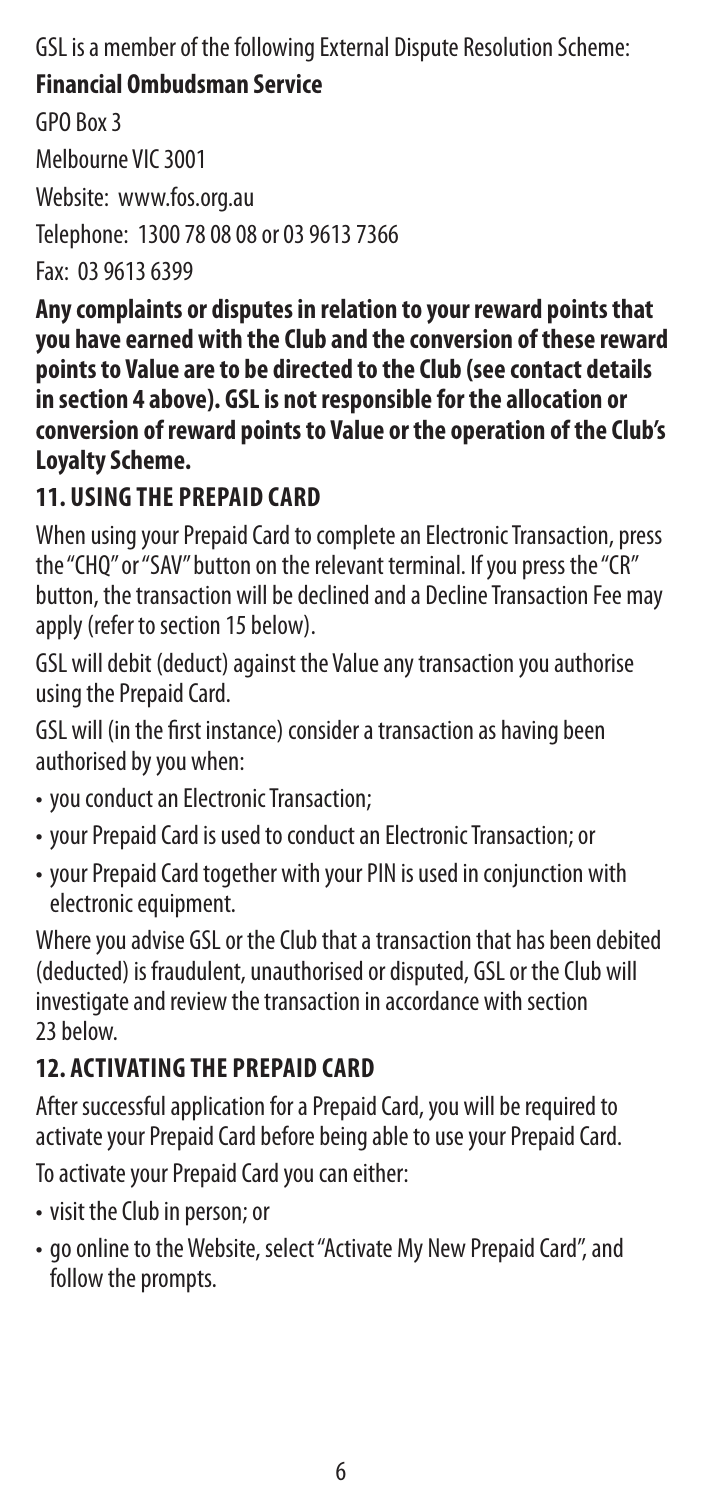GSL is a member of the following External Dispute Resolution Scheme:

#### **Financial Ombudsman Service**

GPO Box 3

Melbourne VIC 3001

Website: www.fos.org.au

Telephone: 1300 78 08 08 or 03 9613 7366

Fax: 03 9613 6399

**Any complaints or disputes in relation to your reward points that you have earned with the Club and the conversion of these reward points to Value are to be directed to the Club (see contact details in section 4 above). GSL is not responsible for the allocation or conversion of reward points to Value or the operation of the Club's Loyalty Scheme.**

## **11. USING THE PREPAID CARD**

When using your Prepaid Card to complete an Electronic Transaction, press the "CHQ" or "SAV" button on the relevant terminal. If you press the "CR" button, the transaction will be declined and a Decline Transaction Fee may apply (refer to section 15 below).

GSL will debit (deduct) against the Value any transaction you authorise using the Prepaid Card.

GSL will (in the first instance) consider a transaction as having been authorised by you when:

- you conduct an Electronic Transaction;
- your Prepaid Card is used to conduct an Electronic Transaction; or
- your Prepaid Card together with your PIN is used in conjunction with electronic equipment.

Where you advise GSL or the Club that a transaction that has been debited (deducted) is fraudulent, unauthorised or disputed, GSL or the Club will investigate and review the transaction in accordance with section 23 below.

## **12. ACTIVATING THE PREPAID CARD**

After successful application for a Prepaid Card, you will be required to activate your Prepaid Card before being able to use your Prepaid Card.

To activate your Prepaid Card you can either:

- visit the Club in person; or
- go online to the Website, select "Activate My New Prepaid Card", and follow the prompts.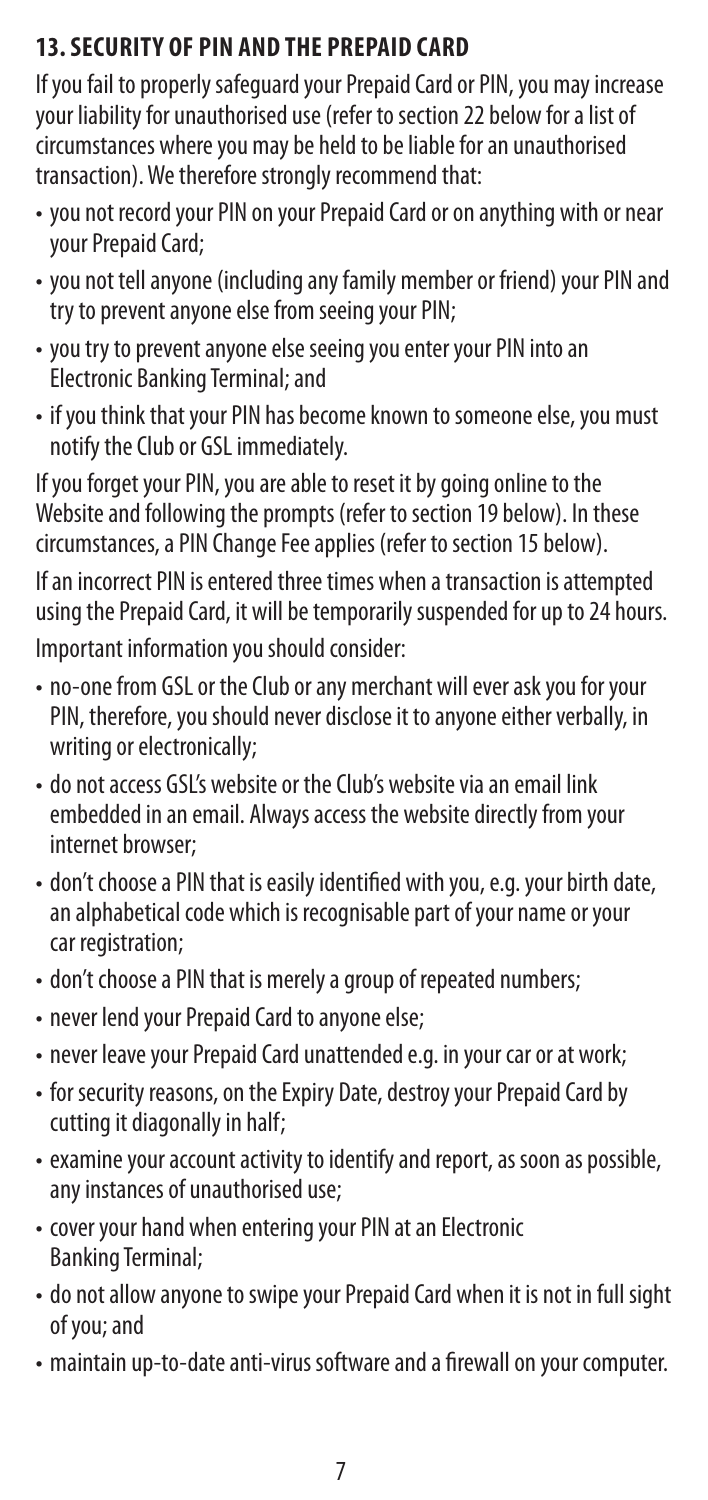## **13. SECURITY OF PIN AND THE PREPAID CARD**

If you fail to properly safeguard your Prepaid Card or PIN, you may increase your liability for unauthorised use (refer to section 22 below for a list of circumstances where you may be held to be liable for an unauthorised transaction). We therefore strongly recommend that:

- you not record your PIN on your Prepaid Card or on anything with or near your Prepaid Card;
- you not tell anyone (including any family member or friend) your PIN and try to prevent anyone else from seeing your PIN;
- you try to prevent anyone else seeing you enter your PIN into an Electronic Banking Terminal; and
- if you think that your PIN has become known to someone else, you must notify the Club or GSL immediately.

If you forget your PIN, you are able to reset it by going online to the Website and following the prompts (refer to section 19 below). In these circumstances, a PIN Change Fee applies (refer to section 15 below).

If an incorrect PIN is entered three times when a transaction is attempted using the Prepaid Card, it will be temporarily suspended for up to 24 hours. Important information you should consider:

- no-one from GSL or the Club or any merchant will ever ask you for your PIN, therefore, you should never disclose it to anyone either verbally, in writing or electronically;
- do not access GSL's website or the Club's website via an email link embedded in an email. Always access the website directly from your internet browser;
- don't choose a PIN that is easily identified with you, e.g. your birth date, an alphabetical code which is recognisable part of your name or your car registration:
- don't choose a PIN that is merely a group of repeated numbers;
- never lend your Prepaid Card to anyone else;
- never leave your Prepaid Card unattended e.g. in your car or at work;
- for security reasons, on the Expiry Date, destroy your Prepaid Card by cutting it diagonally in half;
- examine your account activity to identify and report, as soon as possible, any instances of unauthorised use;
- cover your hand when entering your PIN at an Electronic Banking Terminal;
- do not allow anyone to swipe your Prepaid Card when it is not in full sight of you; and
- maintain up-to-date anti-virus software and a firewall on your computer.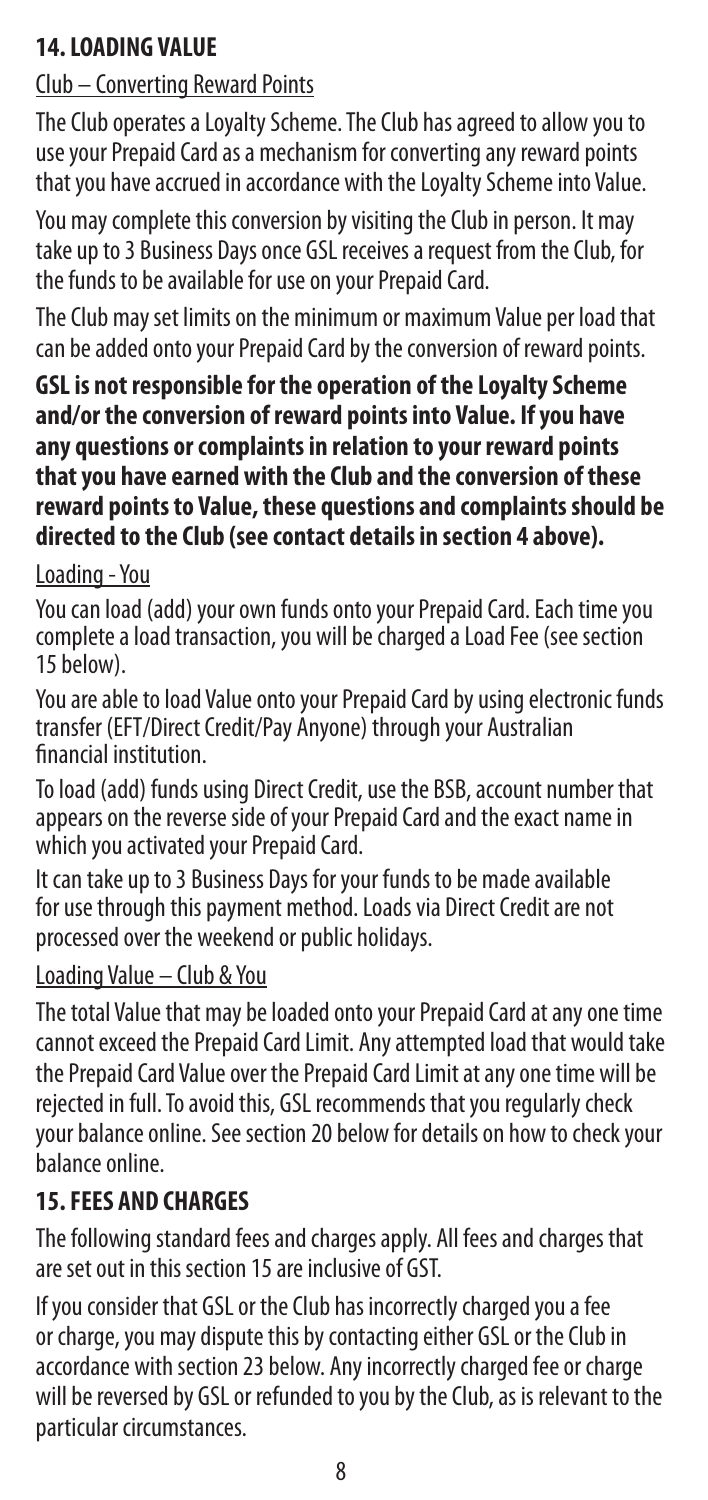#### **14. LOADING VALUE**

## Club – Converting Reward Points

The Club operates a Loyalty Scheme. The Club has agreed to allow you to use your Prepaid Card as a mechanism for converting any reward points that you have accrued in accordance with the Loyalty Scheme into Value.

You may complete this conversion by visiting the Club in person. It may take up to 3 Business Days once GSL receives a request from the Club, for the funds to be available for use on your Prepaid Card.

The Club may set limits on the minimum or maximum Value per load that can be added onto your Prepaid Card by the conversion of reward points.

**GSL is not responsible for the operation of the Loyalty Scheme and/or the conversion of reward points into Value. If you have any questions or complaints in relation to your reward points that you have earned with the Club and the conversion of these reward points to Value, these questions and complaints should be directed to the Club (see contact details in section 4 above).** 

#### Loading - You

You can load (add) your own funds onto your Prepaid Card. Each time you complete a load transaction, you will be charged a Load Fee (see section 15 below).

You are able to load Value onto your Prepaid Card by using electronic funds transfer (EFT/Direct Credit/Pay Anyone) through your Australian financial institution.

To load (add) funds using Direct Credit, use the BSB, account number that appears on the reverse side of your Prepaid Card and the exact name in which you activated your Prepaid Card.

It can take up to 3 Business Days for your funds to be made available for use through this payment method. Loads via Direct Credit are not processed over the weekend or public holidays.

#### Loading Value – Club & You

The total Value that may be loaded onto your Prepaid Card at any one time cannot exceed the Prepaid Card Limit. Any attempted load that would take the Prepaid Card Value over the Prepaid Card Limit at any one time will be rejected in full. To avoid this, GSL recommends that you regularly check your balance online. See section 20 below for details on how to check your balance online.

#### **15. FEES AND CHARGES**

The following standard fees and charges apply. All fees and charges that are set out in this section 15 are inclusive of GST.

If you consider that GSL or the Club has incorrectly charged you a fee or charge, you may dispute this by contacting either GSL or the Club in accordance with section 23 below. Any incorrectly charged fee or charge will be reversed by GSL or refunded to you by the Club, as is relevant to the particular circumstances.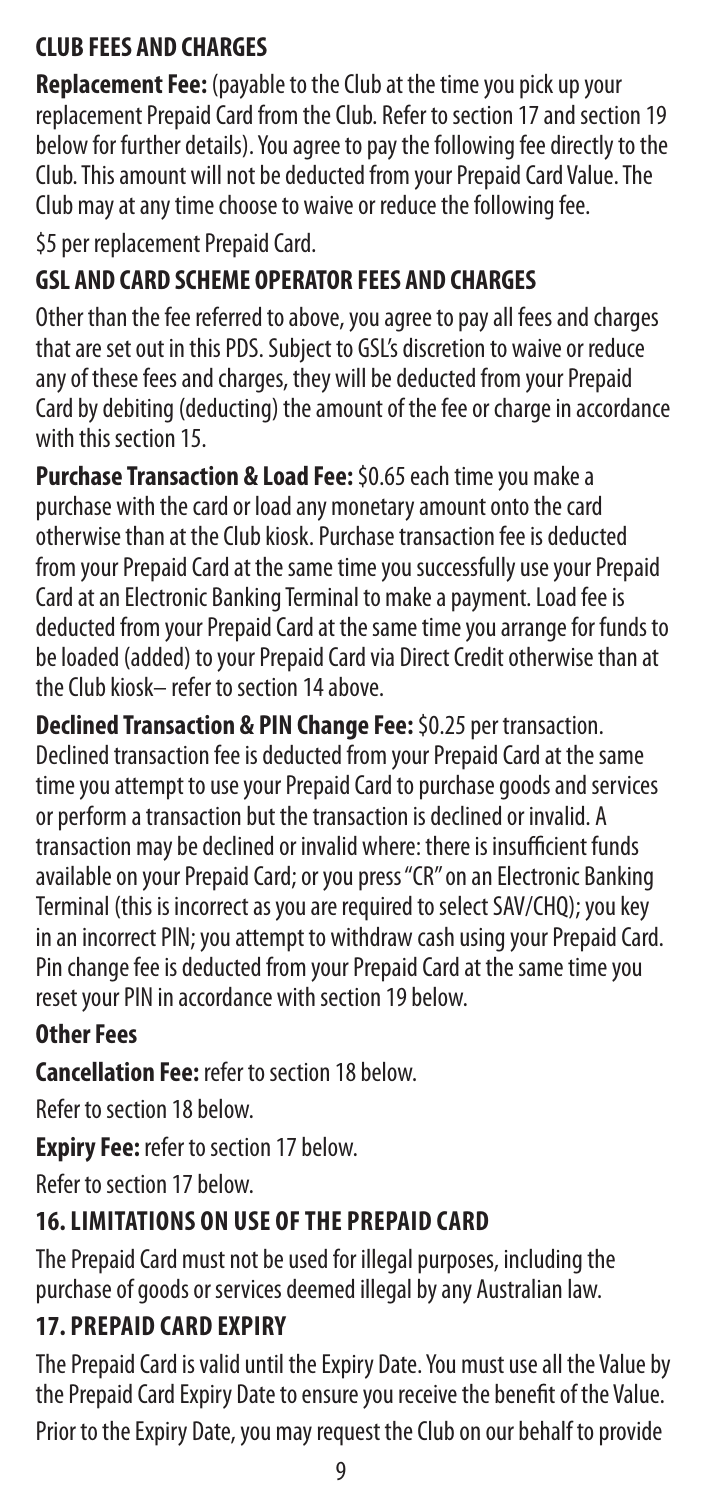## **CLUB FEES AND CHARGES**

**Replacement Fee:** (payable to the Club at the time you pick up your replacement Prepaid Card from the Club. Refer to section 17 and section 19 below for further details). You agree to pay the following fee directly to the Club. This amount will not be deducted from your Prepaid Card Value. The Club may at any time choose to waive or reduce the following fee.

\$5 per replacement Prepaid Card.

## **GSL AND CARD SCHEME OPERATOR FEES AND CHARGES**

Other than the fee referred to above, you agree to pay all fees and charges that are set out in this PDS. Subject to GSL's discretion to waive or reduce any of these fees and charges, they will be deducted from your Prepaid Card by debiting (deducting) the amount of the fee or charge in accordance with this section 15.

**Purchase Transaction & Load Fee:** \$0.65 each time you make a purchase with the card or load any monetary amount onto the card otherwise than at the Club kiosk. Purchase transaction fee is deducted from your Prepaid Card at the same time you successfully use your Prepaid Card at an Electronic Banking Terminal to make a payment. Load fee is deducted from your Prepaid Card at the same time you arrange for funds to be loaded (added) to your Prepaid Card via Direct Credit otherwise than at the Club kiosk– refer to section 14 above.

**Declined Transaction & PIN Change Fee:** \$0.25 per transaction. Declined transaction fee is deducted from your Prepaid Card at the same time you attempt to use your Prepaid Card to purchase goods and services or perform a transaction but the transaction is declined or invalid. A transaction may be declined or invalid where: there is insufficient funds available on your Prepaid Card; or you press "CR" on an Electronic Banking Terminal (this is incorrect as you are required to select SAV/CHQ); you key in an incorrect PIN; you attempt to withdraw cash using your Prepaid Card. Pin change fee is deducted from your Prepaid Card at the same time you reset your PIN in accordance with section 19 below.

## **Other Fees**

**Cancellation Fee:** refer to section 18 below.

Refer to section 18 below.

**Expiry Fee:** refer to section 17 below.

Refer to section 17 below.

## **16. LIMITATIONS ON USE OF THE PREPAID CARD**

The Prepaid Card must not be used for illegal purposes, including the purchase of goods or services deemed illegal by any Australian law.

## **17. PREPAID CARD EXPIRY**

The Prepaid Card is valid until the Expiry Date. You must use all the Value by the Prepaid Card Expiry Date to ensure you receive the benefit of the Value.

Prior to the Expiry Date, you may request the Club on our behalf to provide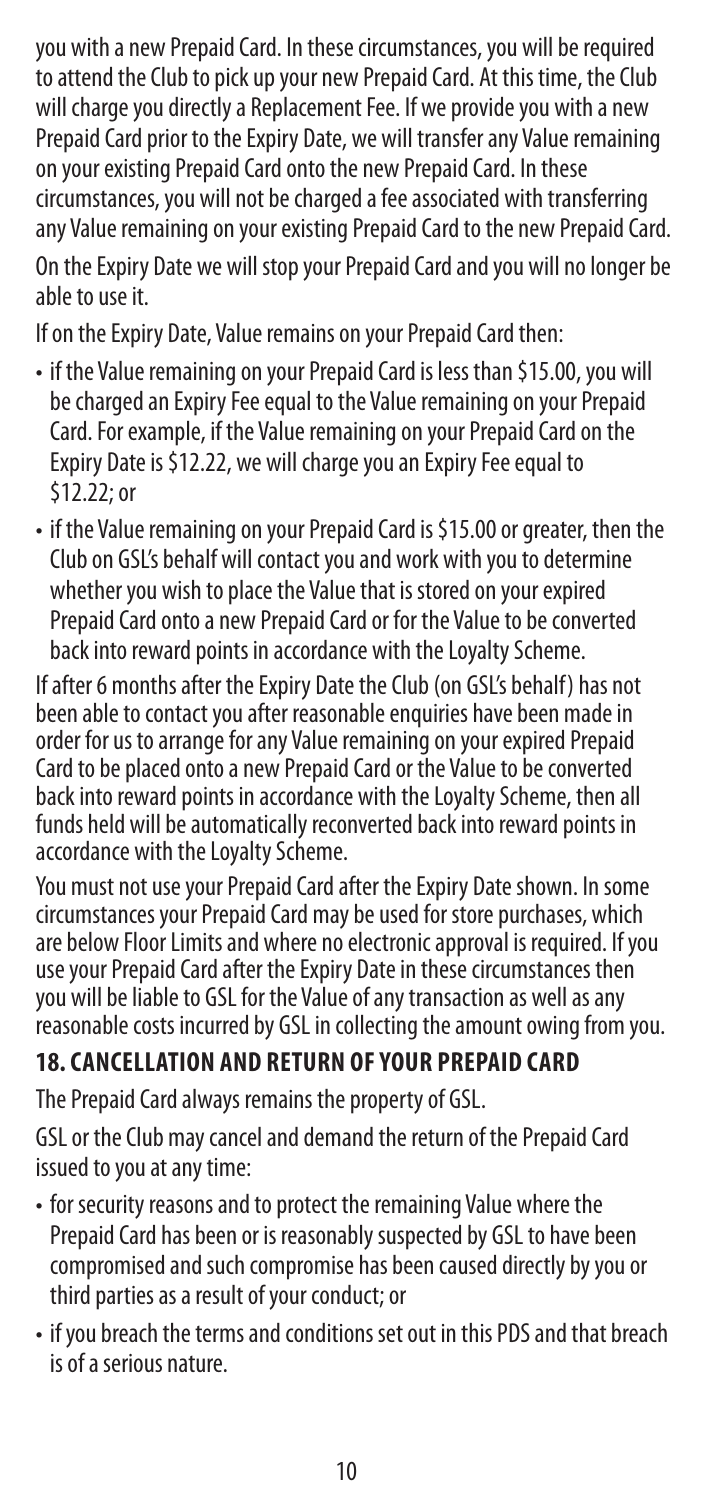you with a new Prepaid Card. In these circumstances, you will be required to attend the Club to pick up your new Prepaid Card. At this time, the Club will charge you directly a Replacement Fee. If we provide you with a new Prepaid Card prior to the Expiry Date, we will transfer any Value remaining on your existing Prepaid Card onto the new Prepaid Card. In these circumstances, you will not be charged a fee associated with transferring any Value remaining on your existing Prepaid Card to the new Prepaid Card. On the Expiry Date we will stop your Prepaid Card and you will no longer be able to use it.

If on the Expiry Date, Value remains on your Prepaid Card then:

- if the Value remaining on your Prepaid Card is less than \$15.00, you will be charged an Expiry Fee equal to the Value remaining on your Prepaid Card. For example, if the Value remaining on your Prepaid Card on the Expiry Date is \$12.22, we will charge you an Expiry Fee equal to \$12.22; or
- if the Value remaining on your Prepaid Card is \$15.00 or greater, then the Club on GSL's behalf will contact you and work with you to determine whether you wish to place the Value that is stored on your expired Prepaid Card onto a new Prepaid Card or for the Value to be converted back into reward points in accordance with the Loyalty Scheme.

If after 6 months after the Expiry Date the Club (on GSL's behalf) has not been able to contact you after reasonable enquiries have been made in order for us to arrange for any Value remaining on your expired Prepaid Card to be placed onto a new Prepaid Card or the Value to be converted back into reward points in accordance with the Loyalty Scheme, then all funds held will be automatically reconverted back into reward points in accordance with the Loyalty Scheme.

You must not use your Prepaid Card after the Expiry Date shown. In some circumstances your Prepaid Card may be used for store purchases, which are below Floor Limits and where no electronic approval is required. If you use your Prepaid Card after the Expiry Date in these circumstances then you will be liable to GSL for the Value of any transaction as well as any reasonable costs incurred by GSL in collecting the amount owing from you.

## **18. CANCELLATION AND RETURN OF YOUR PREPAID CARD**

The Prepaid Card always remains the property of GSL.

GSL or the Club may cancel and demand the return of the Prepaid Card issued to you at any time:

- for security reasons and to protect the remaining Value where the Prepaid Card has been or is reasonably suspected by GSL to have been compromised and such compromise has been caused directly by you or third parties as a result of your conduct; or
- if you breach the terms and conditions set out in this PDS and that breach is of a serious nature.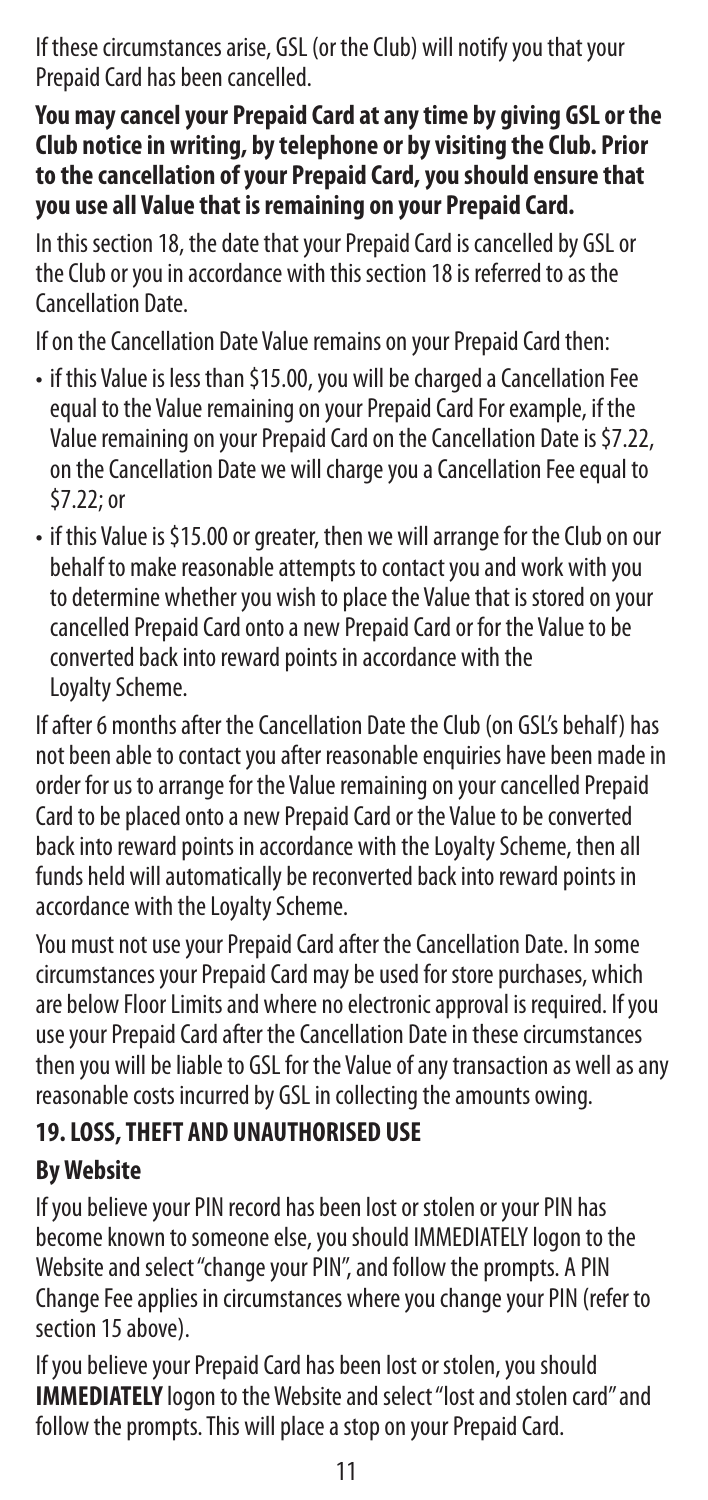If these circumstances arise, GSL (or the Club) will notify you that your Prepaid Card has been cancelled.

**You may cancel your Prepaid Card at any time by giving GSL or the Club notice in writing, by telephone or by visiting the Club. Prior to the cancellation of your Prepaid Card, you should ensure that you use all Value that is remaining on your Prepaid Card.**

In this section 18, the date that your Prepaid Card is cancelled by GSL or the Club or you in accordance with this section 18 is referred to as the Cancellation Date.

If on the Cancellation Date Value remains on your Prepaid Card then:

- if this Value is less than \$15.00, you will be charged a Cancellation Fee equal to the Value remaining on your Prepaid Card For example, if the Value remaining on your Prepaid Card on the Cancellation Date is \$7.22, on the Cancellation Date we will charge you a Cancellation Fee equal to \$7.22; or
- if this Value is \$15.00 or greater, then we will arrange for the Club on our behalf to make reasonable attempts to contact you and work with you to determine whether you wish to place the Value that is stored on your cancelled Prepaid Card onto a new Prepaid Card or for the Value to be converted back into reward points in accordance with the Loyalty Scheme.

If after 6 months after the Cancellation Date the Club (on GSL's behalf) has not been able to contact you after reasonable enquiries have been made in order for us to arrange for the Value remaining on your cancelled Prepaid Card to be placed onto a new Prepaid Card or the Value to be converted back into reward points in accordance with the Loyalty Scheme, then all funds held will automatically be reconverted back into reward points in accordance with the Loyalty Scheme.

You must not use your Prepaid Card after the Cancellation Date. In some circumstances your Prepaid Card may be used for store purchases, which are below Floor Limits and where no electronic approval is required. If you use your Prepaid Card after the Cancellation Date in these circumstances then you will be liable to GSL for the Value of any transaction as well as any reasonable costs incurred by GSL in collecting the amounts owing.

#### **19. LOSS, THEFT AND UNAUTHORISED USE**

#### **By Website**

If you believe your PIN record has been lost or stolen or your PIN has become known to someone else, you should IMMEDIATELY logon to the Website and select "change your PIN", and follow the prompts. A PIN Change Fee applies in circumstances where you change your PIN (refer to section 15 above).

If you believe your Prepaid Card has been lost or stolen, you should **IMMEDIATELY** logon to the Website and select "lost and stolen card" and follow the prompts. This will place a stop on your Prepaid Card.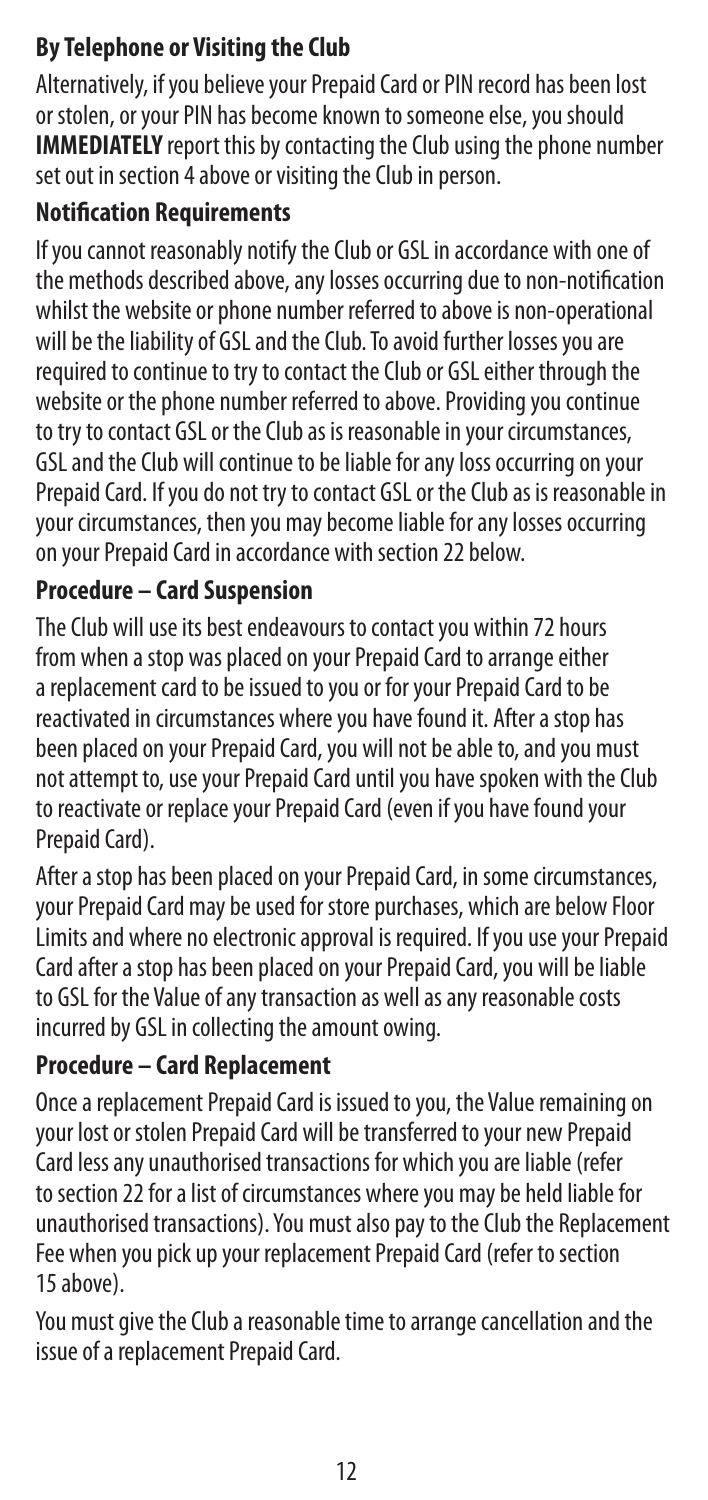### **By Telephone or Visiting the Club**

Alternatively, if you believe your Prepaid Card or PIN record has been lost or stolen, or your PIN has become known to someone else, you should **IMMEDIATELY** report this by contacting the Club using the phone number set out in section 4 above or visiting the Club in person.

#### **Notification Requirements**

If you cannot reasonably notify the Club or GSL in accordance with one of the methods described above, any losses occurring due to non-notification whilst the website or phone number referred to above is non-operational will be the liability of GSL and the Club. To avoid further losses you are required to continue to try to contact the Club or GSL either through the website or the phone number referred to above. Providing you continue to try to contact GSL or the Club as is reasonable in your circumstances, GSL and the Club will continue to be liable for any loss occurring on your Prepaid Card. If you do not try to contact GSL or the Club as is reasonable in your circumstances, then you may become liable for any losses occurring on your Prepaid Card in accordance with section 22 below.

#### **Procedure – Card Suspension**

The Club will use its best endeavours to contact you within 72 hours from when a stop was placed on your Prepaid Card to arrange either a replacement card to be issued to you or for your Prepaid Card to be reactivated in circumstances where you have found it. After a stop has been placed on your Prepaid Card, you will not be able to, and you must not attempt to, use your Prepaid Card until you have spoken with the Club to reactivate or replace your Prepaid Card (even if you have found your Prepaid Card).

After a stop has been placed on your Prepaid Card, in some circumstances, your Prepaid Card may be used for store purchases, which are below Floor Limits and where no electronic approval is required. If you use your Prepaid Card after a stop has been placed on your Prepaid Card, you will be liable to GSL for the Value of any transaction as well as any reasonable costs incurred by GSL in collecting the amount owing.

#### **Procedure – Card Replacement**

Once a replacement Prepaid Card is issued to you, the Value remaining on your lost or stolen Prepaid Card will be transferred to your new Prepaid Card less any unauthorised transactions for which you are liable (refer to section 22 for a list of circumstances where you may be held liable for unauthorised transactions). You must also pay to the Club the Replacement Fee when you pick up your replacement Prepaid Card (refer to section 15 above).

You must give the Club a reasonable time to arrange cancellation and the issue of a replacement Prepaid Card.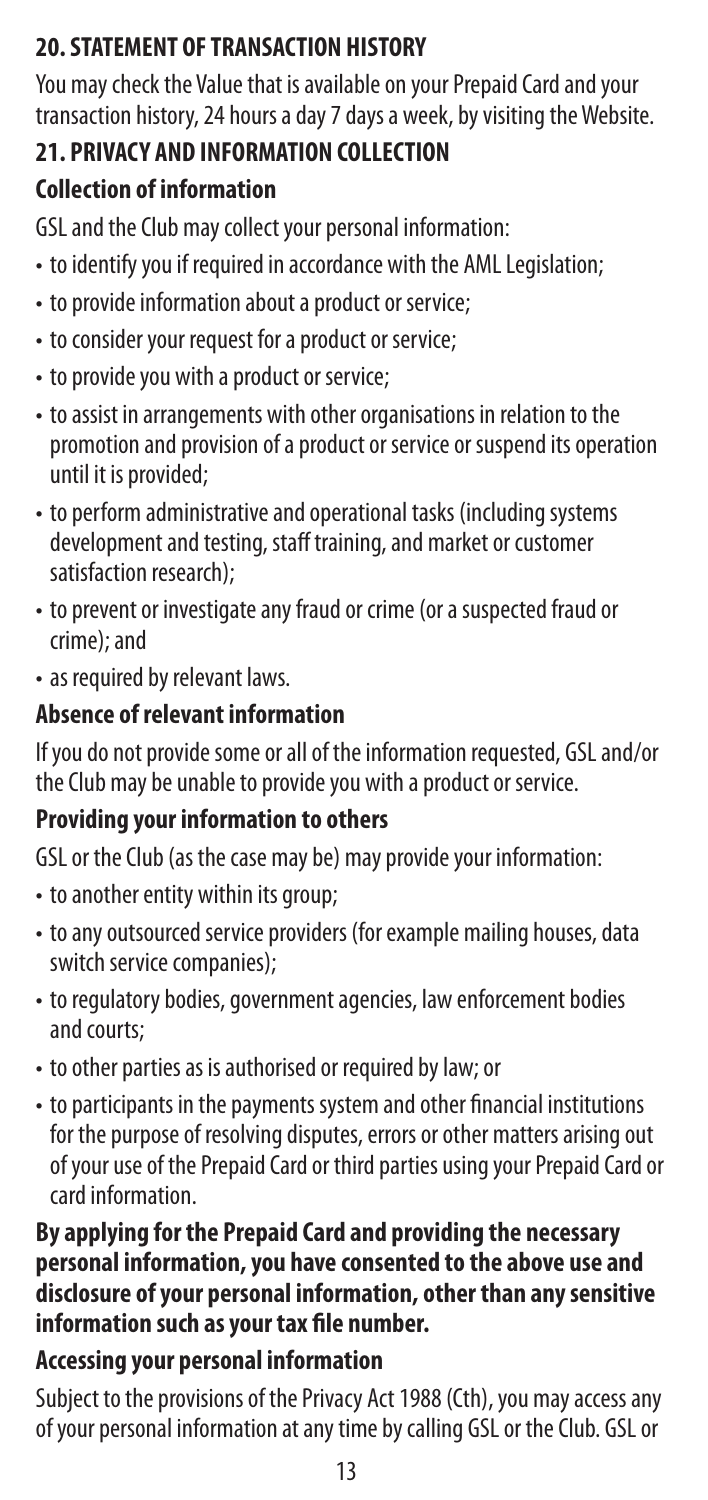## **20. STATEMENT OF TRANSACTION HISTORY**

You may check the Value that is available on your Prepaid Card and your transaction history, 24 hours a day 7 days a week, by visiting the Website.

## **21. PRIVACY AND INFORMATION COLLECTION**

## **Collection of information**

GSL and the Club may collect your personal information:

- to identify you if required in accordance with the AML Legislation;
- to provide information about a product or service;
- to consider your request for a product or service;
- to provide you with a product or service;
- to assist in arrangements with other organisations in relation to the promotion and provision of a product or service or suspend its operation until it is provided;
- to perform administrative and operational tasks (including systems development and testing, staff training, and market or customer satisfaction research);
- to prevent or investigate any fraud or crime (or a suspected fraud or crime); and
- as required by relevant laws.

## **Absence of relevant information**

If you do not provide some or all of the information requested, GSL and/or the Club may be unable to provide you with a product or service.

## **Providing your information to others**

GSL or the Club (as the case may be) may provide your information:

- to another entity within its group;
- to any outsourced service providers (for example mailing houses, data switch service companies);
- to regulatory bodies, government agencies, law enforcement bodies and courts;
- to other parties as is authorised or required by law; or
- to participants in the payments system and other financial institutions for the purpose of resolving disputes, errors or other matters arising out of your use of the Prepaid Card or third parties using your Prepaid Card or card information.

#### **By applying for the Prepaid Card and providing the necessary personal information, you have consented to the above use and disclosure of your personal information, other than any sensitive information such as your tax file number.**

## **Accessing your personal information**

Subject to the provisions of the Privacy Act 1988 (Cth), you may access any of your personal information at any time by calling GSL or the Club. GSL or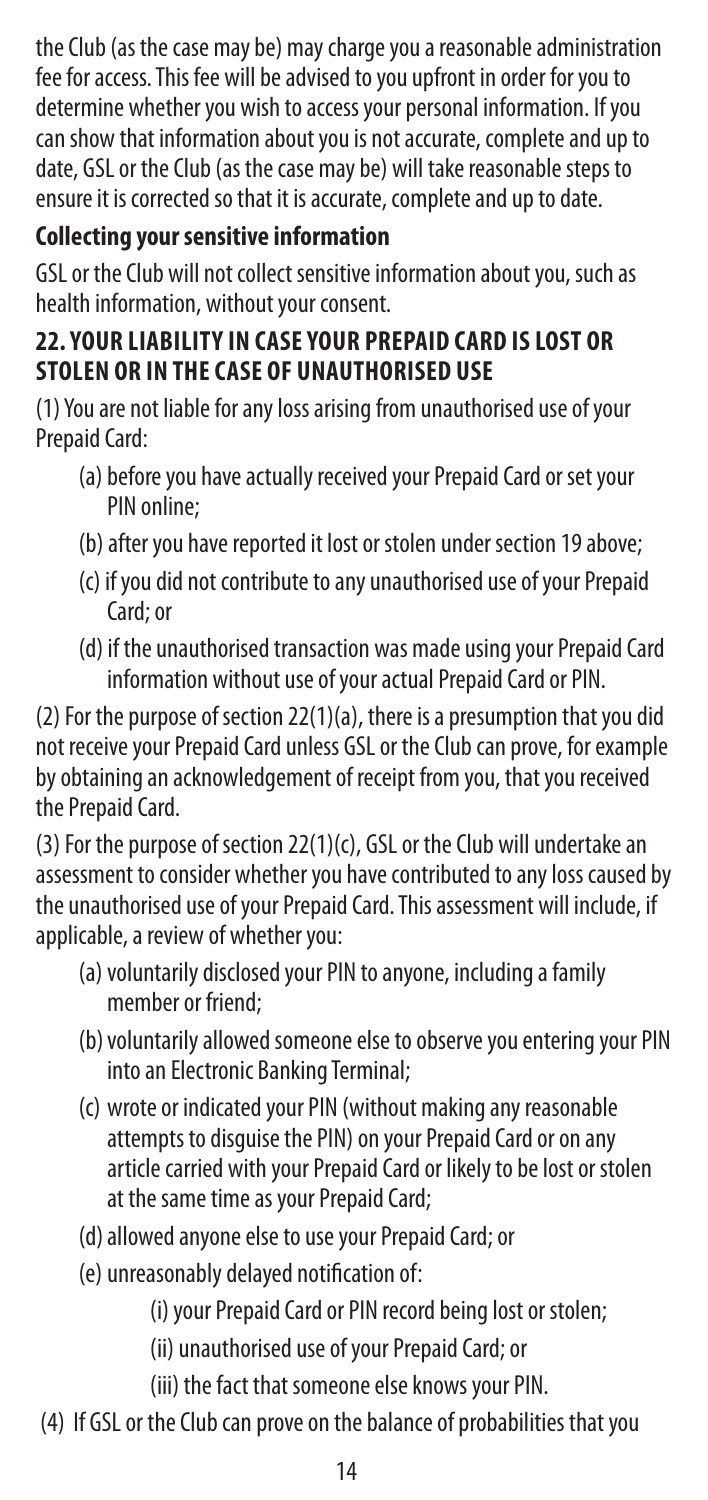the Club (as the case may be) may charge you a reasonable administration fee for access. This fee will be advised to you upfront in order for you to determine whether you wish to access your personal information. If you can show that information about you is not accurate, complete and up to date, GSL or the Club (as the case may be) will take reasonable steps to ensure it is corrected so that it is accurate, complete and up to date.

## **Collecting your sensitive information**

GSL or the Club will not collect sensitive information about you, such as health information, without your consent.

### **22. YOUR LIABILITY IN CASE YOUR PREPAID CARD IS LOST OR STOLEN OR IN THE CASE OF UNAUTHORISED USE**

(1) You are not liable for any loss arising from unauthorised use of your Prepaid Card:

- (a) before you have actually received your Prepaid Card or set your PIN online;
- (b) after you have reported it lost or stolen under section 19 above;
- (c) if you did not contribute to any unauthorised use of your Prepaid Card; or
- (d) if the unauthorised transaction was made using your Prepaid Card information without use of your actual Prepaid Card or PIN.

(2) For the purpose of section 22(1)(a), there is a presumption that you did not receive your Prepaid Card unless GSL or the Club can prove, for example by obtaining an acknowledgement of receipt from you, that you received the Prepaid Card.

(3) For the purpose of section 22(1)(c), GSL or the Club will undertake an assessment to consider whether you have contributed to any loss caused by the unauthorised use of your Prepaid Card. This assessment will include, if applicable, a review of whether you:

- (a)voluntarily disclosed your PIN to anyone, including a family member or friend;
- (b) voluntarily allowed someone else to observe you entering your PIN into an Electronic Banking Terminal;
- (c) wrote or indicated your PIN (without making any reasonable attempts to disguise the PIN) on your Prepaid Card or on any article carried with your Prepaid Card or likely to be lost or stolen at the same time as your Prepaid Card;
- (d)allowed anyone else to use your Prepaid Card; or
- (e) unreasonably delayed notification of:
	- (i) your Prepaid Card or PIN record being lost or stolen;
	- (ii) unauthorised use of your Prepaid Card; or
	- (iii) the fact that someone else knows your PIN.
- (4) If GSL or the Club can prove on the balance of probabilities that you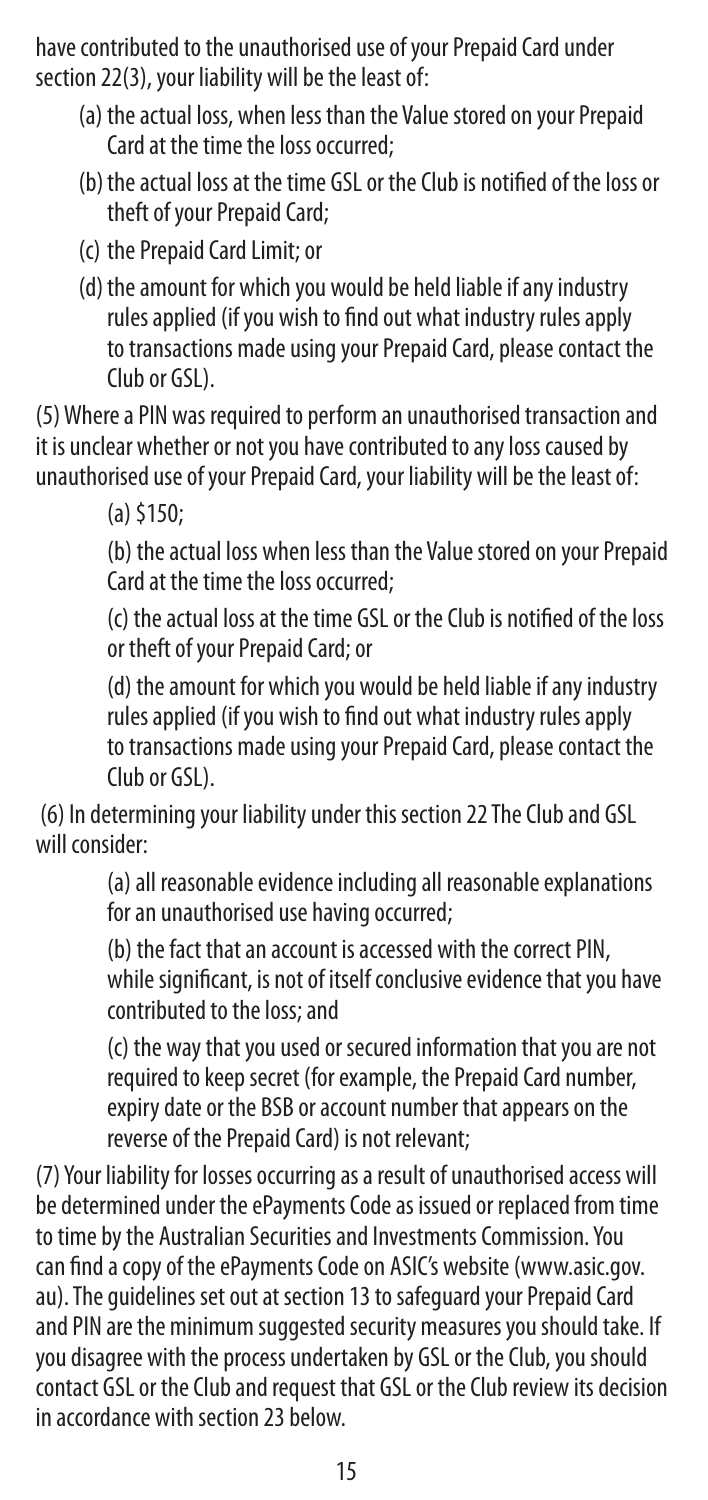have contributed to the unauthorised use of your Prepaid Card under section 22(3), your liability will be the least of:

- (a) the actual loss, when less than the Value stored on your Prepaid Card at the time the loss occurred;
- (b)the actual loss at the time GSL or the Club is notified of the loss or theft of your Prepaid Card;
- (c) the Prepaid Card Limit; or
- (d) the amount for which you would be held liable if any industry rules applied (if you wish to find out what industry rules apply to transactions made using your Prepaid Card, please contact the Club or GSL).

(5) Where a PIN was required to perform an unauthorised transaction and it is unclear whether or not you have contributed to any loss caused by unauthorised use of your Prepaid Card, your liability will be the least of:

(a) \$150;

(b) the actual loss when less than the Value stored on your Prepaid Card at the time the loss occurred;

(c) the actual loss at the time GSL or the Club is notified of the loss or theft of your Prepaid Card; or

(d) the amount for which you would be held liable if any industry rules applied (if you wish to find out what industry rules apply to transactions made using your Prepaid Card, please contact the Club or GSL).

 (6) In determining your liability under this section 22 The Club and GSL will consider:

> (a) all reasonable evidence including all reasonable explanations for an unauthorised use having occurred;

(b) the fact that an account is accessed with the correct PIN, while significant, is not of itself conclusive evidence that you have contributed to the loss; and

(c) the way that you used or secured information that you are not required to keep secret (for example, the Prepaid Card number, expiry date or the BSB or account number that appears on the reverse of the Prepaid Card) is not relevant;

(7) Your liability for losses occurring as a result of unauthorised access will be determined under the ePayments Code as issued or replaced from time to time by the Australian Securities and Investments Commission. You can find a copy of the ePayments Code on ASIC's website (www.asic.gov. au). The guidelines set out at section 13 to safeguard your Prepaid Card and PIN are the minimum suggested security measures you should take. If you disagree with the process undertaken by GSL or the Club, you should contact GSL or the Club and request that GSL or the Club review its decision in accordance with section 23 below.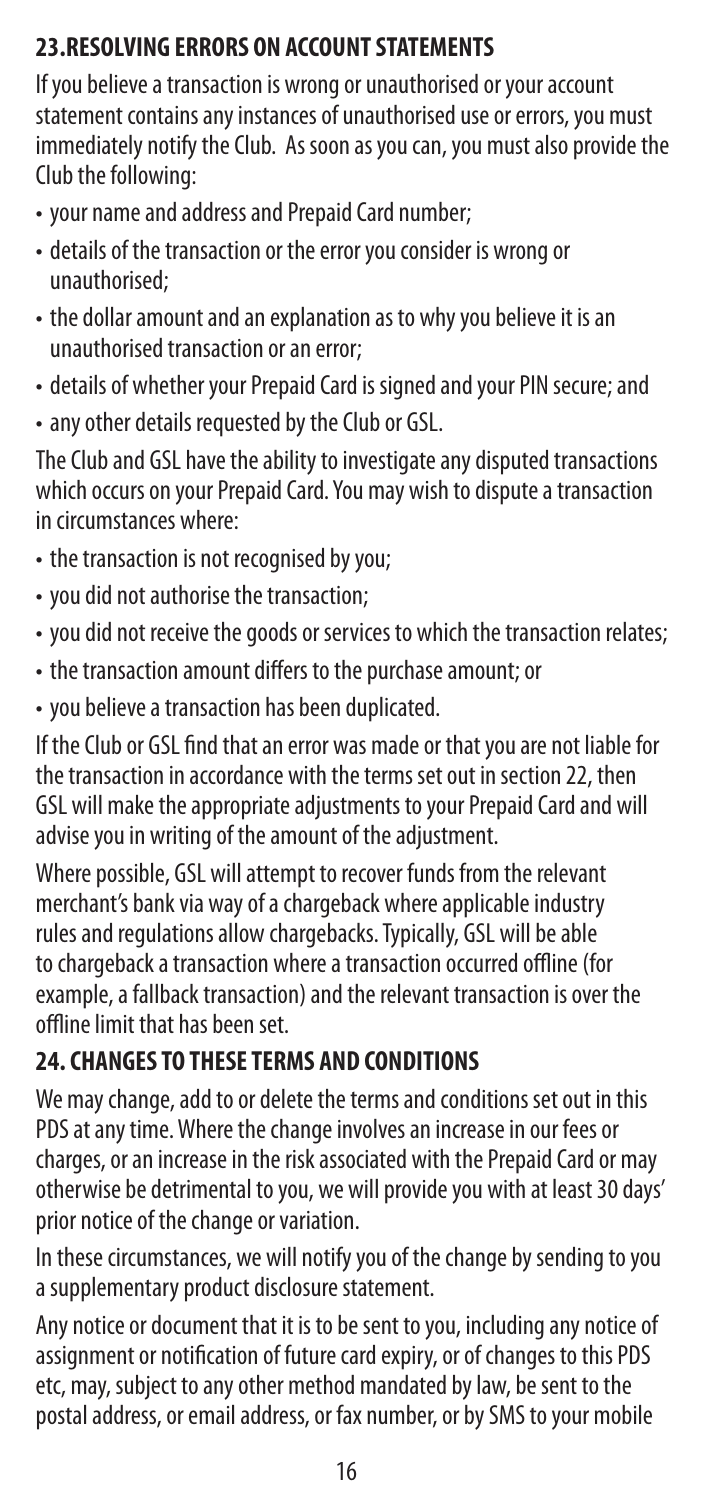## **23.RESOLVING ERRORS ON ACCOUNT STATEMENTS**

If you believe a transaction is wrong or unauthorised or your account statement contains any instances of unauthorised use or errors, you must immediately notify the Club. As soon as you can, you must also provide the Club the following:

- your name and address and Prepaid Card number;
- details of the transaction or the error you consider is wrong or unauthorised;
- the dollar amount and an explanation as to why you believe it is an unauthorised transaction or an error;
- details of whether your Prepaid Card is signed and your PIN secure; and
- any other details requested by the Club or GSL.

The Club and GSL have the ability to investigate any disputed transactions which occurs on your Prepaid Card. You may wish to dispute a transaction in circumstances where:

- the transaction is not recognised by you;
- you did not authorise the transaction;
- you did not receive the goods or services to which the transaction relates;
- the transaction amount differs to the purchase amount; or
- you believe a transaction has been duplicated.

If the Club or GSL find that an error was made or that you are not liable for the transaction in accordance with the terms set out in section 22, then GSL will make the appropriate adjustments to your Prepaid Card and will advise you in writing of the amount of the adjustment.

Where possible, GSL will attempt to recover funds from the relevant merchant's bank via way of a chargeback where applicable industry rules and regulations allow chargebacks. Typically, GSL will be able to chargeback a transaction where a transaction occurred offline (for example, a fallback transaction) and the relevant transaction is over the offline limit that has been set.

#### **24. CHANGES TO THESE TERMS AND CONDITIONS**

We may change, add to or delete the terms and conditions set out in this PDS at any time. Where the change involves an increase in our fees or charges, or an increase in the risk associated with the Prepaid Card or may otherwise be detrimental to you, we will provide you with at least 30 days' prior notice of the change or variation.

In these circumstances, we will notify you of the change by sending to you a supplementary product disclosure statement.

Any notice or document that it is to be sent to you, including any notice of assignment or notification of future card expiry, or of changes to this PDS etc, may, subject to any other method mandated by law, be sent to the postal address, or email address, or fax number, or by SMS to your mobile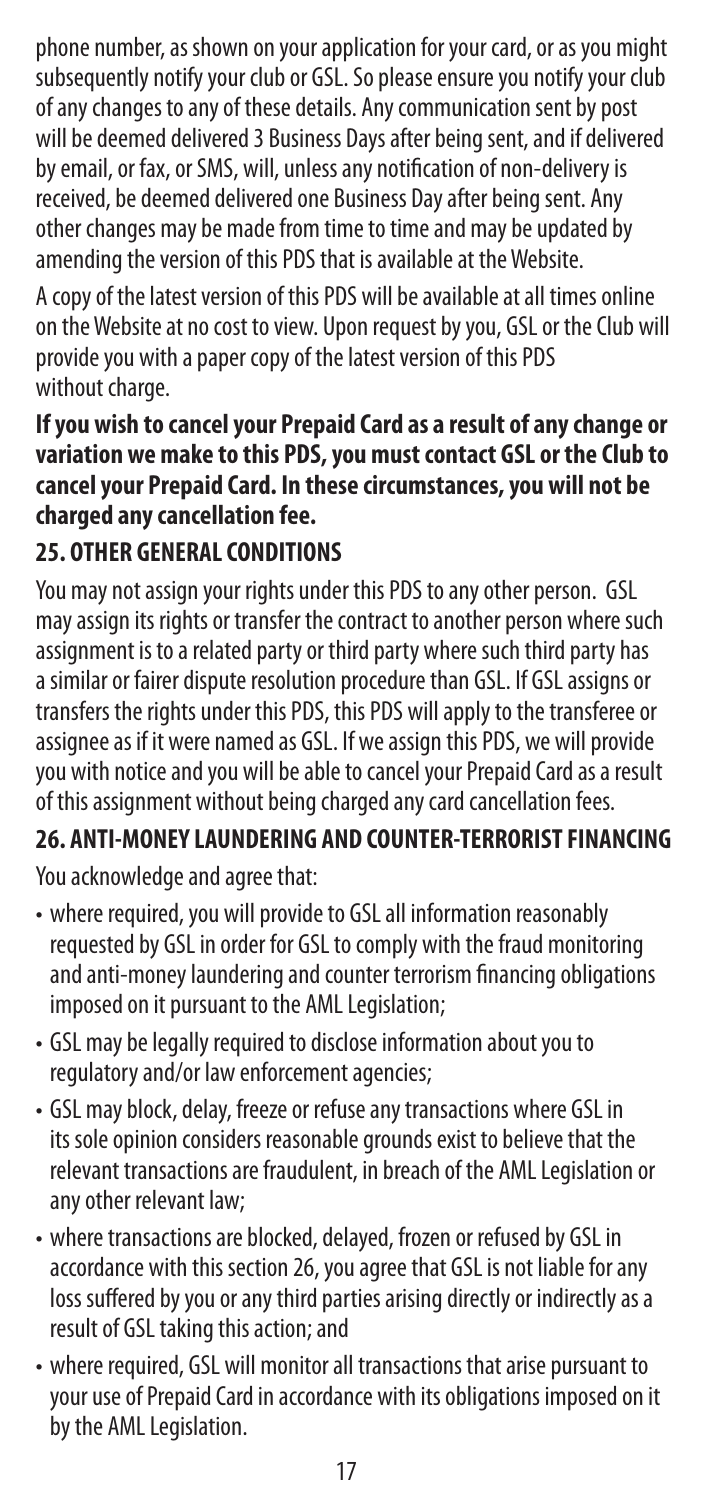phone number, as shown on your application for your card, or as you might subsequently notify your club or GSL. So please ensure you notify your club of any changes to any of these details. Any communication sent by post will be deemed delivered 3 Business Days after being sent, and if delivered by email, or fax, or SMS, will, unless any notification of non-delivery is received, be deemed delivered one Business Day after being sent. Any other changes may be made from time to time and may be updated by amending the version of this PDS that is available at the Website.

A copy of the latest version of this PDS will be available at all times online on the Website at no cost to view. Upon request by you, GSL or the Club will provide you with a paper copy of the latest version of this PDS without charge.

#### **If you wish to cancel your Prepaid Card as a result of any change or variation we make to this PDS, you must contact GSL or the Club to cancel your Prepaid Card. In these circumstances, you will not be charged any cancellation fee.**

## **25. OTHER GENERAL CONDITIONS**

You may not assign your rights under this PDS to any other person. GSL may assign its rights or transfer the contract to another person where such assignment is to a related party or third party where such third party has a similar or fairer dispute resolution procedure than GSL. If GSL assigns or transfers the rights under this PDS, this PDS will apply to the transferee or assignee as if it were named as GSL. If we assign this PDS, we will provide you with notice and you will be able to cancel your Prepaid Card as a result of this assignment without being charged any card cancellation fees.

## **26. ANTI-MONEY LAUNDERING AND COUNTER-TERRORIST FINANCING**

You acknowledge and agree that:

- where required, you will provide to GSL all information reasonably requested by GSL in order for GSL to comply with the fraud monitoring and anti-money laundering and counter terrorism financing obligations imposed on it pursuant to the AML Legislation;
- GSL may be legally required to disclose information about you to regulatory and/or law enforcement agencies;
- GSL may block, delay, freeze or refuse any transactions where GSL in its sole opinion considers reasonable grounds exist to believe that the relevant transactions are fraudulent, in breach of the AML Legislation or any other relevant law;
- where transactions are blocked, delayed, frozen or refused by GSL in accordance with this section 26, you agree that GSL is not liable for any loss suffered by you or any third parties arising directly or indirectly as a result of GSL taking this action; and
- where required, GSL will monitor all transactions that arise pursuant to your use of Prepaid Card in accordance with its obligations imposed on it by the AML Legislation.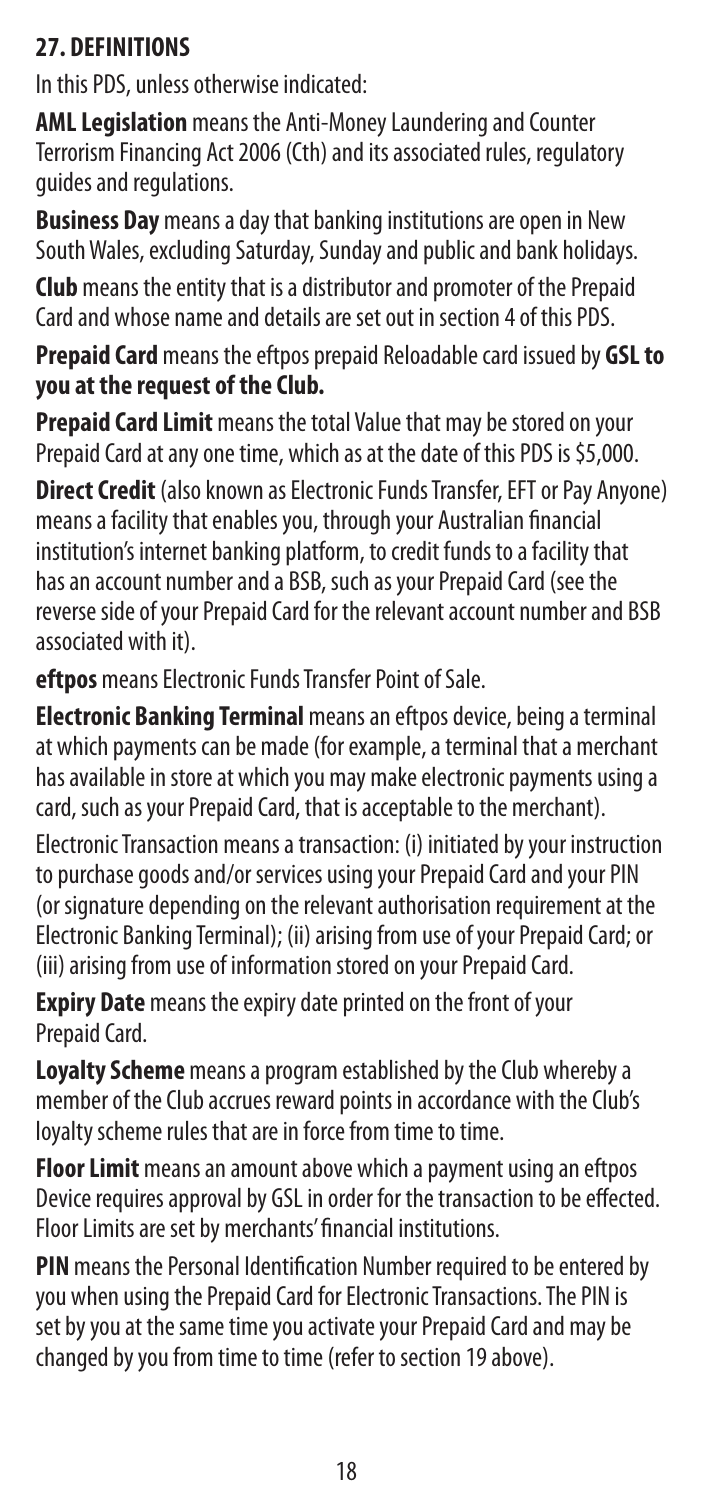#### **27. DEFINITIONS**

In this PDS, unless otherwise indicated:

**AML Legislation** means the Anti-Money Laundering and Counter Terrorism Financing Act 2006 (Cth) and its associated rules, regulatory guides and regulations.

**Business Day** means a day that banking institutions are open in New South Wales, excluding Saturday, Sunday and public and bank holidays.

**Club** means the entity that is a distributor and promoter of the Prepaid Card and whose name and details are set out in section 4 of this PDS.

**Prepaid Card** means the eftpos prepaid Reloadable card issued by **GSL to you at the request of the Club.**

**Prepaid Card Limit** means the total Value that may be stored on your Prepaid Card at any one time, which as at the date of this PDS is \$5,000.

**Direct Credit** (also known as Electronic Funds Transfer, EFT or Pay Anyone) means a facility that enables you, through your Australian financial institution's internet banking platform, to credit funds to a facility that has an account number and a BSB, such as your Prepaid Card (see the reverse side of your Prepaid Card for the relevant account number and BSB associated with it).

**eftpos** means Electronic Funds Transfer Point of Sale.

**Electronic Banking Terminal** means an eftpos device, being a terminal at which payments can be made (for example, a terminal that a merchant has available in store at which you may make electronic payments using a card, such as your Prepaid Card, that is acceptable to the merchant).

Electronic Transaction means a transaction: (i) initiated by your instruction to purchase goods and/or services using your Prepaid Card and your PIN (or signature depending on the relevant authorisation requirement at the Electronic Banking Terminal); (ii) arising from use of your Prepaid Card; or (iii) arising from use of information stored on your Prepaid Card.

**Expiry Date** means the expiry date printed on the front of your Prepaid Card.

**Loyalty Scheme** means a program established by the Club whereby a member of the Club accrues reward points in accordance with the Club's loyalty scheme rules that are in force from time to time.

**Floor Limit** means an amount above which a payment using an eftpos Device requires approval by GSL in order for the transaction to be effected. Floor Limits are set by merchants' financial institutions.

**PIN** means the Personal Identification Number required to be entered by you when using the Prepaid Card for Electronic Transactions. The PIN is set by you at the same time you activate your Prepaid Card and may be changed by you from time to time (refer to section 19 above).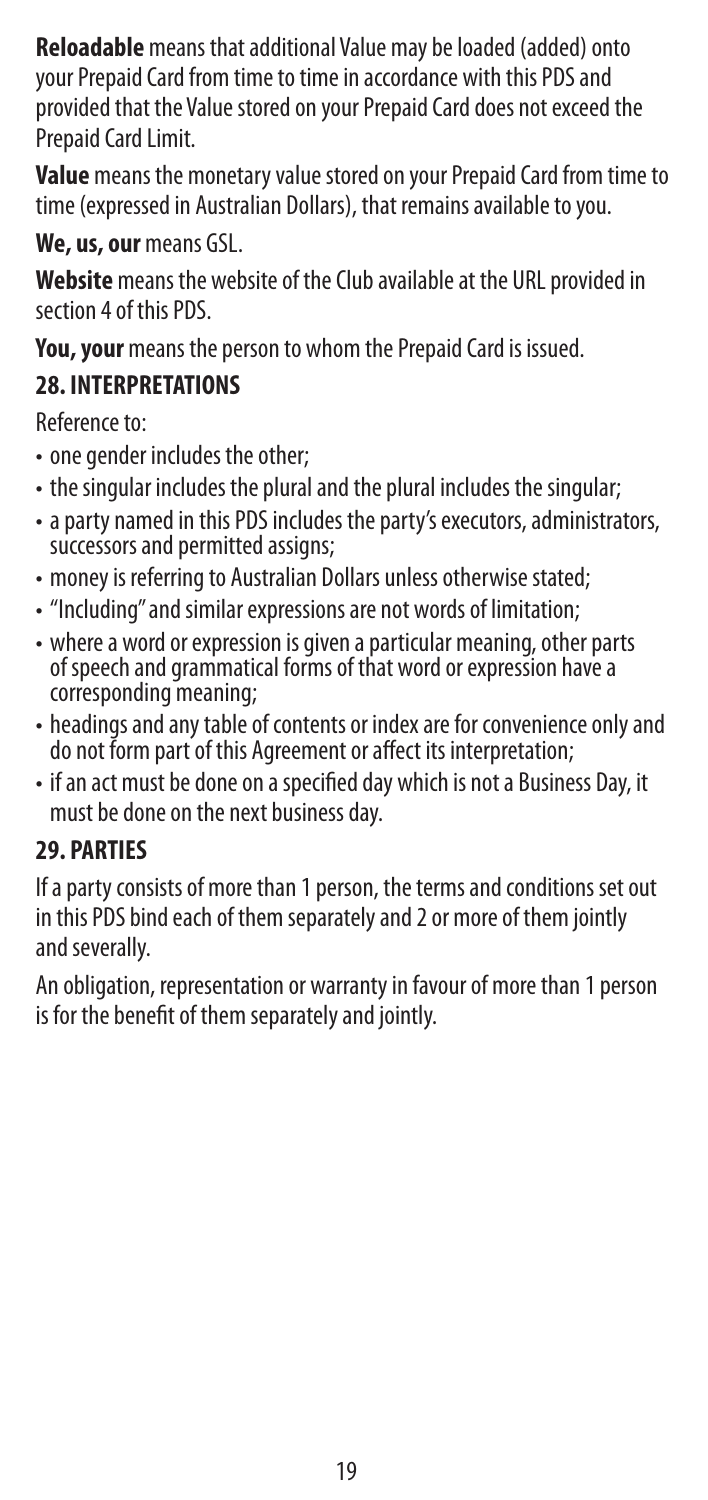**Reloadable** means that additional Value may be loaded (added) onto your Prepaid Card from time to time in accordance with this PDS and provided that the Value stored on your Prepaid Card does not exceed the Prepaid Card Limit.

**Value** means the monetary value stored on your Prepaid Card from time to time (expressed in Australian Dollars), that remains available to you.

**We, us, our** means GSL.

**Website** means the website of the Club available at the URL provided in section 4 of this PDS.

**You, your** means the person to whom the Prepaid Card is issued.

## **28. INTERPRETATIONS**

Reference to:

- one gender includes the other;
- the singular includes the plural and the plural includes the singular;
- a party named in this PDS includes the party's executors, administrators, successors and permitted assigns:
- money is referring to Australian Dollars unless otherwise stated;
- "Including" and similar expressions are not words of limitation;
- where a word or expression is given a particular meaning, other parts of speech and grammatical forms of that word or expression have a corresponding meaning;
- headings and any table of contents or index are for convenience only and do not form part of this Agreement or affect its interpretation;
- if an act must be done on a specified day which is not a Business Day, it must be done on the next business day.

## **29. PARTIES**

If a party consists of more than 1 person, the terms and conditions set out in this PDS bind each of them separately and 2 or more of them jointly and severally.

An obligation, representation or warranty in favour of more than 1 person is for the benefit of them separately and jointly.